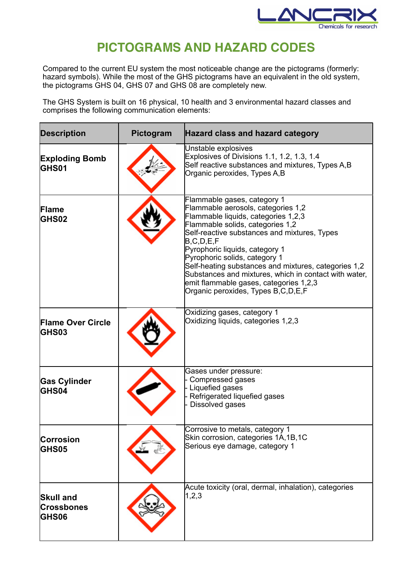

## **PICTOGRAMS AND HAZARD CODES**

Compared to the current EU system the most noticeable change are the pictograms (formerly: hazard symbols). While the most of the GHS pictograms have an equivalent in the old system, the pictograms GHS 04, GHS 07 and GHS 08 are completely new.

The GHS System is built on 16 physical, 10 health and 3 environmental hazard classes and comprises the following communication elements:

| <b>Description</b>                                    | Pictogram | Hazard class and hazard category                                                                                                                                                                                                                                                                                                                                                                                                                                                  |
|-------------------------------------------------------|-----------|-----------------------------------------------------------------------------------------------------------------------------------------------------------------------------------------------------------------------------------------------------------------------------------------------------------------------------------------------------------------------------------------------------------------------------------------------------------------------------------|
| <b>Exploding Bomb</b><br>GHS01                        |           | Unstable explosives<br>Explosives of Divisions 1.1, 1.2, 1.3, 1.4<br>Self reactive substances and mixtures, Types A,B<br>Organic peroxides, Types A,B                                                                                                                                                                                                                                                                                                                             |
| <b>Flame</b><br><b>GHS02</b>                          |           | Flammable gases, category 1<br>Flammable aerosols, categories 1,2<br>Flammable liquids, categories 1,2,3<br>Flammable solids, categories 1,2<br>Self-reactive substances and mixtures, Types<br>B, C, D, E, F<br>Pyrophoric liquids, category 1<br>Pyrophoric solids, category 1<br>Self-heating substances and mixtures, categories 1,2<br>Substances and mixtures, which in contact with water,<br>emit flammable gases, categories 1,2,3<br>Organic peroxides, Types B,C,D,E,F |
| <b>Flame Over Circle</b><br><b>GHS03</b>              |           | Oxidizing gases, category 1<br>Oxidizing liquids, categories 1,2,3                                                                                                                                                                                                                                                                                                                                                                                                                |
| <b>Gas Cylinder</b><br><b>GHS04</b>                   |           | Gases under pressure:<br>Compressed gases<br>Liquefied gases<br>Refrigerated liquefied gases<br>Dissolved gases                                                                                                                                                                                                                                                                                                                                                                   |
| Corrosion<br><b>GHS05</b>                             |           | Corrosive to metals, category 1<br>Skin corrosion, categories 1A, 1B, 1C<br>Serious eye damage, category 1                                                                                                                                                                                                                                                                                                                                                                        |
| <b>Skull and</b><br><b>Crossbones</b><br><b>GHS06</b> |           | Acute toxicity (oral, dermal, inhalation), categories<br>1,2,3                                                                                                                                                                                                                                                                                                                                                                                                                    |